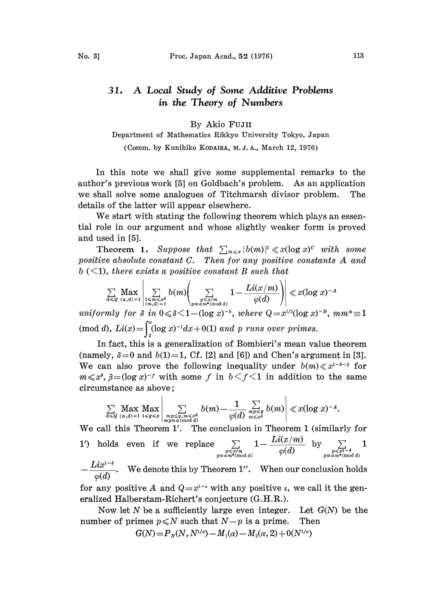## A Local Study of Some Additive Problems 31. in the Theory of Numbers

## By Akio FuJII

## Department of Mathematics Rikkyo University Tokyo, Japan

(Comm. by Kunihiko KODAIRA, M.J.A., March 12, 1976)

In this note we shall give some supplemental remarks to the author's previous work [5] on Goldbach's problem. As an application we shall solve some analogues of Titchmarsh divisor problem. The details of the latter will appear elsewhere.

We start with stating the following theorem which plays an essential role in our argument and whose slightly weaker form is proved and used in [5].

Theorem 1. Suppose that  $\sum_{m\leq x} |b(m)|^2 \ll x(\log x)^c$  with some positive absolute constant C. Then for any positive constants A and  $b \leq 1$ , there exists a positive constant B such that

$$
\sum_{d\leqslant Q}\max_{(a,d)=1}\left|\sum_{\substack{1\leqslant m\leqslant x^{\delta}\\(m,d)=1}}b(m)\right|\sum_{\substack{p\leqslant x/m\\p\equiv a\,m^*(\text{mod }d)}}1-\frac{Li(x/m)}{\varphi(d)}\right)\right| \ll x(\log x)^{-A}
$$

uniformly for  $\delta$  in  $0 \leq \delta \leq 1$  -  $(\log x)^{-b}$ , where  $Q=x^{1/2}(\log x)^{-B}$ ,  $mm^*\equiv 1$ (mod d),  $Li(x) = \int_{0}^{x} (\log x)^{-1} dx + 0(1)$  and p runs over primes.

In taet, this is a generalization ot Bombieri's mean value theorem (namely,  $\delta=0$  and  $b(1)=1$ , Cf. [2] and [6]) and Chen's argument in [3]. We can also prove the following inequality under  $b(m) \ll x^{1-\delta-\beta}$  for We can also prove the following inequality under  $b(m) \ll x^{1-\delta-\beta}$  for  $m \ll x^3$ ,  $\beta = (\log x)^{-f}$  with some f in  $b < f < 1$  in addition to the same circumstance as above;

$$
\sum_{d \leqslant Q} \max_{(a,d)=1} \max_{1 \leqslant y \leqslant x} \left| \sum_{\substack{mp \leqslant y, m \leqslant x^{\delta} \\ mp \equiv a \, (\text{mod } d)}} b(m) - \frac{1}{\varphi(d)} \sum_{\substack{mp \leqslant y \\ m < x^{\delta}}} b(m) \right| \ll x (\log x)^{-A}.
$$

We call this Theorem 1'. The conclusion in Theorem 1 (similarly for 1') holds even if we replace  $\sum 1-\frac{L\mathfrak{u}(x/m)}{L\mathfrak{u}(x)}$  by  $\sum 1$  $\sum_{\substack{p\leqslant x/m\\ p\equiv a\,m^*(\text{mod }d)}}1-\frac{Lu(x/m)}{\varphi(d)} \text{\quad by\quad } \sum_{\substack{p\leqslant x^{1-\delta}\\ p\equiv a\,m^*(\text{mod }d)}}$  $\frac{Lix^{1-\delta}}{Lix^{1-\delta}}$ . We denote this by Theorem 1''. When our conclusion holds  $\varphi(d)$ 

for any positive A and  $Q=x^{1-\epsilon}$  with any positive  $\epsilon$ , we call it the generalized Halberstam-Richert's conjecture (G.H.R.). eralized Halberstam-Richert's conjecture (G.H.R.).

Now let N be a sufficiently large even integer. Let  $G(N)$  be the number of primes  $p \le N$  such that  $N-p$  is a prime. Then

$$
G(N) = P_N(N, N^{1/4}) - M_1(\alpha) - M_2(\alpha, 2) + O(N^{1/4})
$$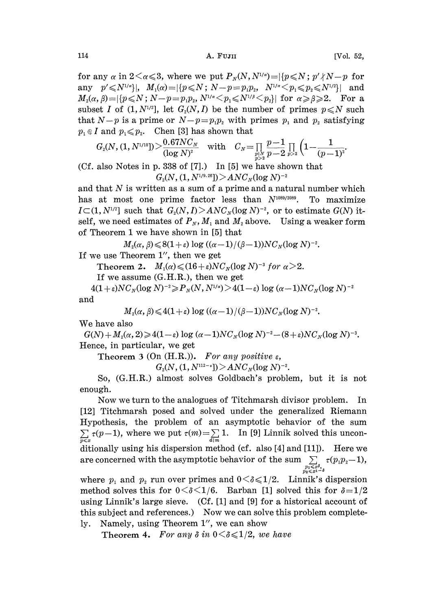for any  $\alpha$  in  $2 \le \alpha \le 3$ , where we put  $P_N(N, N^{1/\alpha}) = |\{p \le N : p' \nmid N-p \text{ for } n \le N\}|$ any  $p' \leq N^{1/a}$ ,  $M_1(\alpha) = |\{p \leq N : N-p=p_1p_2, N^{1/a} \leq p_1 \leq p_2 \leq N^{1/2}\}|$  and  $M_2(\alpha,\beta)=|\{p\leqslant N\colon N-p=p_1p_2,\,N^{1/\alpha}\leqslant p_1\leqslant N^{1/\beta}\leqslant p_2\}|$  for  $\alpha\geqslant\beta\geqslant2$ . For a subset I of  $(1, N^{1/2}]$ , let  $G_2(N, I)$  be the number of primes  $p \le N$  such that  $N-p$  is a prime or  $N-p=p_1p_2$  with primes  $p_1$  and  $p_2$  satisfying  $p_1 \notin I$  and  $p_1 \leq p_2$ . Chen [3] has shown that

$$
G_{\scriptscriptstyle 2}(N,(1,N^{\scriptscriptstyle 1/10}])\!>\!\frac{0.67N C_N}{(\log N)^2}\quad\text{with}\quad C_N\!=\!\prod_{\substack{p\mid N \\ p>2}}\frac{p\!-\!1}{p-2}\prod_{p>2}\Big(1\!-\!\frac{1}{(p-1)^2}\!.
$$

(Cf. also Notes in p. 338 of [7].) In [5] we have shown that  $G_2(N,(1,N^{1/9.26}])\!\!>\!\!AN\!C_N(\log N)^{-2}$ 

and that  $N$  is written as a sum of a prime and a natural number which has at most one prime factor less than  $N^{1089/2089}$ . To maximize  $I \subset (1, N^{1/2}]$  such that  $G_2(N, I) > ANC_N(\log N)^{-2}$ , or to estimate  $G(N)$  itself, we need estimates of  $P_N$ ,  $M_1$  and  $M_2$  above. Using a weaker form of Theorem <sup>I</sup> we have shown in [5] that

 $M_2(\alpha, \beta) \leqslant 8(1+\varepsilon) \log ((\alpha-1)/(\beta-1))NC_N(\log N)^{-2}.$ If we use Theorem 1", then we get

Theorem 2.  $M_1(\alpha) \leq (16+\varepsilon) NC_N(\log N)^{-3}$  for  $\alpha > 2$ .<br>If we assume (G.H.R.), then we get

If we assume (G.H.R.), then we get

 $\begin{split} 4(1+\varepsilon)NC_N(\log N)^{-2}\!\geqslant\!P_N(N,N^{\scriptscriptstyle{1/a}})\!>\!4(1\!-\!\varepsilon)\log{(\alpha\!-\!1)}NC_N(\log N)^{-2}\ M^{\scriptscriptstyle{1}}(\alpha,\beta)\!\leqslant\!4(1\!+\!\varepsilon)\log{((\alpha\!-\!1)/(\beta\!-\!1))}NC_N(\log N)^{-2}. \end{split}$ and

$$
M_2(\alpha, \beta) \leqslant 4(1+\varepsilon) \log ((\alpha-1)/(\beta-1)) NC_N(\log N)^{-2}.
$$

We have also

 $G(N) + M_2(\alpha, 2) \ge 4(1-\varepsilon) \log (\alpha - 1) NC_N(\log N)^{-2} - (8+\varepsilon) NC_N(\log N)^{-3}.$ <br>
Hence, in particular, we get<br>  $\Gamma$ becrom 3 (On (H B )) For any positive c Hence, in particular, we get

Theorem 3 (On (H.R.)). For any positive  $\varepsilon$ ,

 $G_2(N, (1, N^{112-\epsilon})$  >  $ANC_N(\log N)^{-2}$ .

So, (G.H.R.) almost solves Goldbaeh's problem, but it is not enough.

Now we turn to the analogues of Titehmarsh divisor problem. In [12] Titehmarsh posed and solved under the generalized Riemann Hypothesis, the problem of an asymptotic behavior of the sum  $\sum_{p \leq x} \tau(p-1)$ , where we put  $\tau(m) = \sum_{d \mid m} 1$ . In [9] Linnik solved this unconditionally using his dispersion method (cf. also [4] and [11]). Here we are concerned with the asymptotic behavior of the sum  $\sum_{\substack{p_1 \leqslant x\delta, \\ p_2 \leqslant x^{1-\delta}}} \tau(p_1p_2-1)$ ,

where  $p_1$  and  $p_2$  run over primes and  $0 \le \delta \le 1/2$ . Linnik's dispersion method solves this for  $0 < \delta < 1/6$ . Barban [1] solved this for  $\delta = 1/2$ using Linnik's large sieve. (Cf. [1] and [9] for a historical account of this subject and references.) Now we can solve this problem completely. Namely, using Theorem l", we can show

Theorem 4. For any  $\delta$  in  $0 \leq \delta \leq 1/2$ , we have